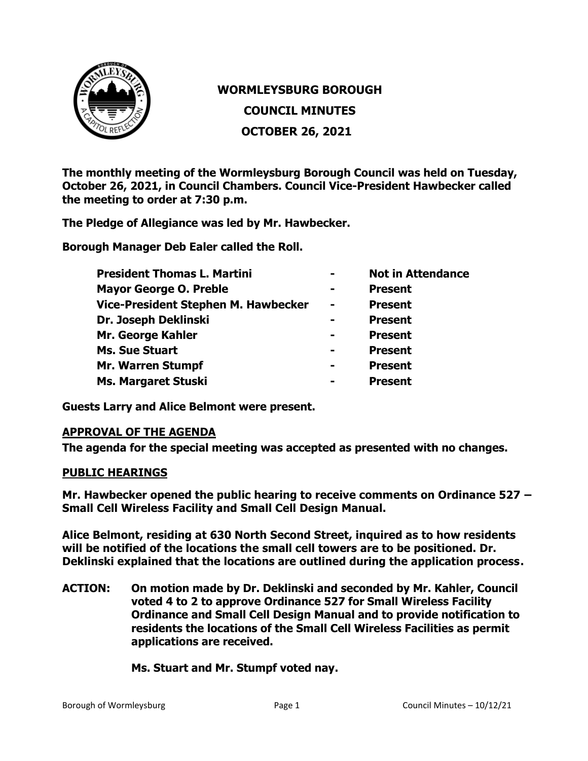

## **WORMLEYSBURG BOROUGH COUNCIL MINUTES OCTOBER 26, 2021**

**The monthly meeting of the Wormleysburg Borough Council was held on Tuesday, October 26, 2021, in Council Chambers. Council Vice-President Hawbecker called the meeting to order at 7:30 p.m.**

**The Pledge of Allegiance was led by Mr. Hawbecker.**

**Borough Manager Deb Ealer called the Roll.**

|                | <b>Not in Attendance</b> |
|----------------|--------------------------|
| -              | <b>Present</b>           |
| $\blacksquare$ | <b>Present</b>           |
|                | <b>Present</b>           |
| $\blacksquare$ | <b>Present</b>           |
| $\blacksquare$ | <b>Present</b>           |
| -              | <b>Present</b>           |
| -              | <b>Present</b>           |
|                |                          |

**Guests Larry and Alice Belmont were present.** 

## **APPROVAL OF THE AGENDA**

**The agenda for the special meeting was accepted as presented with no changes.**

## **PUBLIC HEARINGS**

**Mr. Hawbecker opened the public hearing to receive comments on Ordinance 527 – Small Cell Wireless Facility and Small Cell Design Manual.**

**Alice Belmont, residing at 630 North Second Street, inquired as to how residents will be notified of the locations the small cell towers are to be positioned. Dr. Deklinski explained that the locations are outlined during the application process.**

**ACTION: On motion made by Dr. Deklinski and seconded by Mr. Kahler, Council voted 4 to 2 to approve Ordinance 527 for Small Wireless Facility Ordinance and Small Cell Design Manual and to provide notification to residents the locations of the Small Cell Wireless Facilities as permit applications are received.**

**Ms. Stuart and Mr. Stumpf voted nay.**